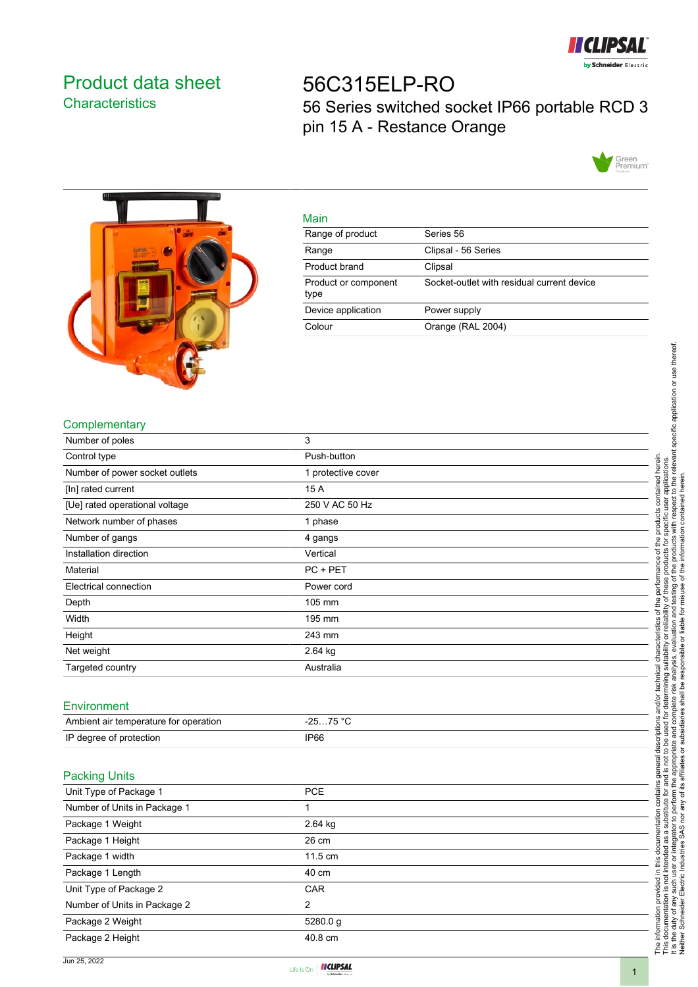

## <span id="page-0-0"></span>Product data sheet **Characteristics**

## 56C315ELP-RO 56 Series switched socket IP66 portable RCD 3 pin 15 A - Restance Orange





| Main                         |                                            |
|------------------------------|--------------------------------------------|
| Range of product             | Series 56                                  |
| Range                        | Clipsal - 56 Series                        |
| Product brand                | Clipsal                                    |
| Product or component<br>type | Socket-outlet with residual current device |
| Device application           | Power supply                               |
| Colour                       | Orange (RAL 2004)                          |

## **Complementary**

| Number of poles                       | 3                  |  |
|---------------------------------------|--------------------|--|
| Control type                          | Push-button        |  |
| Number of power socket outlets        | 1 protective cover |  |
| [In] rated current                    | 15 A               |  |
| [Ue] rated operational voltage        | 250 V AC 50 Hz     |  |
| Network number of phases              | 1 phase            |  |
| Number of gangs                       | 4 gangs            |  |
| Installation direction                | Vertical           |  |
| Material                              | PC + PET           |  |
| Electrical connection                 | Power cord         |  |
| Depth                                 | 105 mm             |  |
| Width                                 | 195 mm             |  |
| Height                                | 243 mm             |  |
| Net weight                            | 2.64 kg            |  |
| Targeted country                      | Australia          |  |
|                                       |                    |  |
| Environment                           |                    |  |
| Ambient air temperature for operation | $-2575 °C$         |  |
| IP degree of protection               | IP66               |  |
|                                       |                    |  |
| <b>Packing Units</b>                  |                    |  |
| Unit Type of Package 1                | PCE                |  |
| Number of Units in Package 1          | $\mathbf{1}$       |  |
| Package 1 Weight                      | 2.64 kg            |  |
| Package 1 Height                      | 26 cm              |  |
| Package 1 width                       | 11.5 cm            |  |
| Package 1 Length                      | 40 cm              |  |
| Unit Type of Package 2                | CAR                |  |
| Number of Units in Package 2          | $\overline{2}$     |  |
| Package 2 Weight                      | 5280.0 g           |  |



Package 2 Height **40.8 cm**